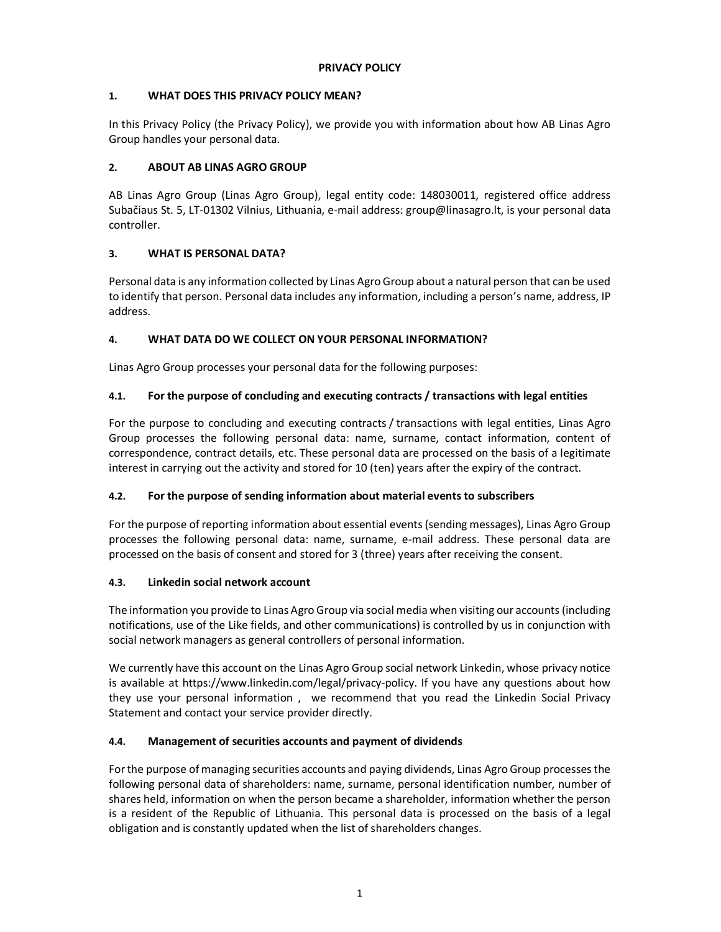### **1. WHAT DOES THIS PRIVACY POLICY MEAN?**

In this Privacy Policy (the Privacy Policy), we provide you with information about how AB Linas Agro Group handles your personal data.

# **2. ABOUT AB LINAS AGRO GROUP**

AB Linas Agro Group (Linas Agro Group), legal entity code: 148030011, registered office address Subačiaus St. 5, LT-01302 Vilnius, Lithuania, e-mail address: group@linasagro.lt, is your personal data controller.

# **3. WHAT IS PERSONAL DATA?**

Personal data is any information collected by Linas Agro Group about a natural person that can be used to identify that person. Personal data includes any information, including a person's name, address, IP address.

# **4. WHAT DATA DO WE COLLECT ON YOUR PERSONAL INFORMATION?**

Linas Agro Group processes your personal data for the following purposes:

# **4.1. For the purpose of concluding and executing contracts / transactions with legal entities**

For the purpose to concluding and executing contracts / transactions with legal entities, Linas Agro Group processes the following personal data: name, surname, contact information, content of correspondence, contract details, etc. These personal data are processed on the basis of a legitimate interest in carrying out the activity and stored for 10 (ten) years after the expiry of the contract.

### **4.2. For the purpose of sending information about material events to subscribers**

For the purpose of reporting information about essential events (sending messages), Linas Agro Group processes the following personal data: name, surname, e-mail address. These personal data are processed on the basis of consent and stored for 3 (three) years after receiving the consent.

### **4.3. Linkedin social network account**

The information you provide to Linas Agro Group via social media when visiting our accounts (including notifications, use of the Like fields, and other communications) is controlled by us in conjunction with social network managers as general controllers of personal information.

We currently have this account on the Linas Agro Group social network Linkedin, whose privacy notice is available at https://www.linkedin.com/legal/privacy-policy. If you have any questions about how they use your personal information , we recommend that you read the Linkedin Social Privacy Statement and contact your service provider directly.

### **4.4. Management of securities accounts and payment of dividends**

For the purpose of managing securities accounts and paying dividends, Linas Agro Group processes the following personal data of shareholders: name, surname, personal identification number, number of shares held, information on when the person became a shareholder, information whether the person is a resident of the Republic of Lithuania. This personal data is processed on the basis of a legal obligation and is constantly updated when the list of shareholders changes.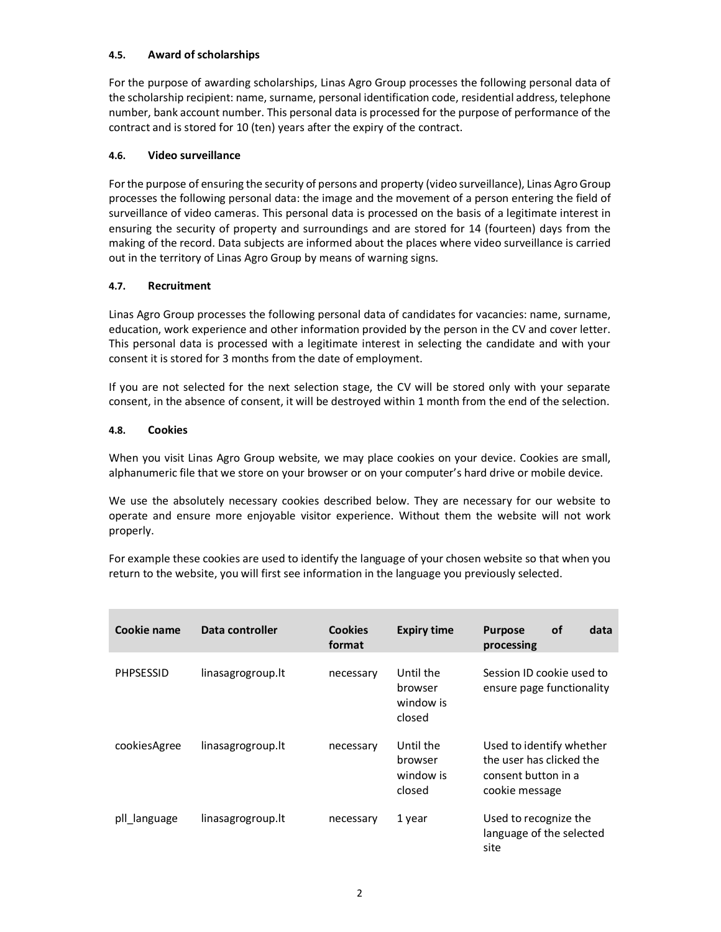#### **4.5. Award of scholarships**

For the purpose of awarding scholarships, Linas Agro Group processes the following personal data of the scholarship recipient: name, surname, personal identification code, residential address, telephone number, bank account number. This personal data is processed for the purpose of performance of the contract and is stored for 10 (ten) years after the expiry of the contract.

#### **4.6. Video surveillance**

For the purpose of ensuring the security of persons and property (video surveillance), Linas Agro Group processes the following personal data: the image and the movement of a person entering the field of surveillance of video cameras. This personal data is processed on the basis of a legitimate interest in ensuring the security of property and surroundings and are stored for 14 (fourteen) days from the making of the record. Data subjects are informed about the places where video surveillance is carried out in the territory of Linas Agro Group by means of warning signs.

#### **4.7. Recruitment**

Linas Agro Group processes the following personal data of candidates for vacancies: name, surname, education, work experience and other information provided by the person in the CV and cover letter. This personal data is processed with a legitimate interest in selecting the candidate and with your consent it is stored for 3 months from the date of employment.

If you are not selected for the next selection stage, the CV will be stored only with your separate consent, in the absence of consent, it will be destroyed within 1 month from the end of the selection.

#### **4.8. Cookies**

When you visit Linas Agro Group website, we may place cookies on your device. Cookies are small, alphanumeric file that we store on your browser or on your computer's hard drive or mobile device.

We use the absolutely necessary cookies described below. They are necessary for our website to operate and ensure more enjoyable visitor experience. Without them the website will not work properly.

For example these cookies are used to identify the language of your chosen website so that when you return to the website, you will first see information in the language you previously selected.

| Cookie name      | Data controller   | <b>Cookies</b><br>format | <b>Expiry time</b>                          | <b>Purpose</b><br>processing                                                                  | <b>of</b> | data |
|------------------|-------------------|--------------------------|---------------------------------------------|-----------------------------------------------------------------------------------------------|-----------|------|
| <b>PHPSESSID</b> | linasagrogroup.lt | necessary                | Until the<br>browser<br>window is<br>closed | Session ID cookie used to<br>ensure page functionality                                        |           |      |
| cookiesAgree     | linasagrogroup.lt | necessary                | Until the<br>browser<br>window is<br>closed | Used to identify whether<br>the user has clicked the<br>consent button in a<br>cookie message |           |      |
| pll language     | linasagrogroup.lt | necessary                | 1 year                                      | Used to recognize the<br>language of the selected<br>site                                     |           |      |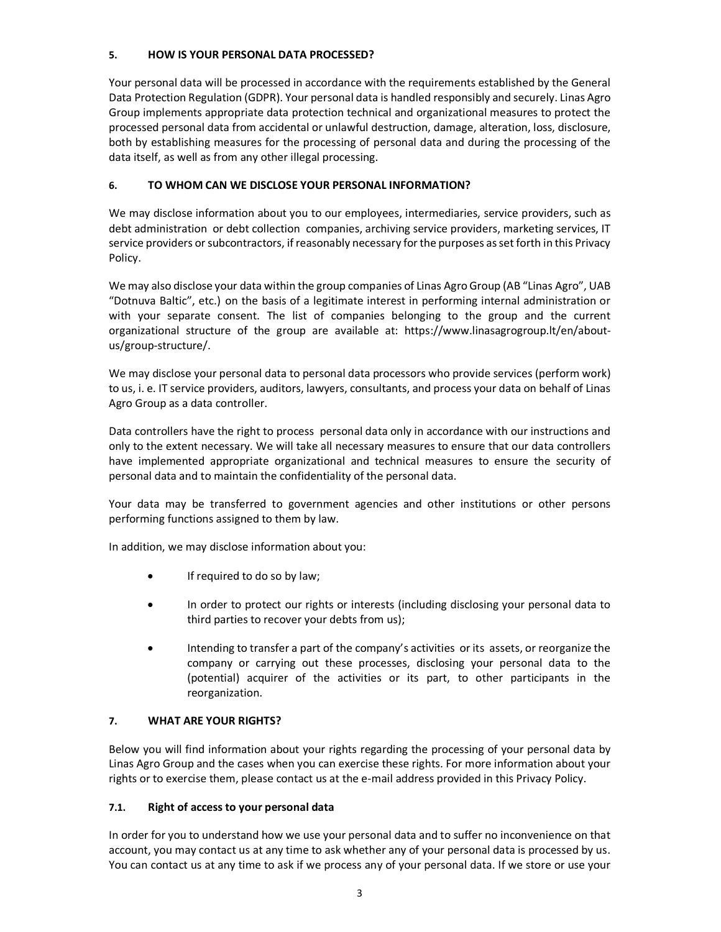### **5. HOW IS YOUR PERSONAL DATA PROCESSED?**

Your personal data will be processed in accordance with the requirements established by the General Data Protection Regulation (GDPR). Your personal data is handled responsibly and securely. Linas Agro Group implements appropriate data protection technical and organizational measures to protect the processed personal data from accidental or unlawful destruction, damage, alteration, loss, disclosure, both by establishing measures for the processing of personal data and during the processing of the data itself, as well as from any other illegal processing.

# **6. TO WHOM CAN WE DISCLOSE YOUR PERSONAL INFORMATION?**

We may disclose information about you to our employees, intermediaries, service providers, such as debt administration or debt collection companies, archiving service providers, marketing services, IT service providers or subcontractors, if reasonably necessary for the purposes as set forth in this Privacy Policy.

We may also disclose your data within the group companies of Linas Agro Group (AB "Linas Agro", UAB "Dotnuva Baltic", etc.) on the basis of a legitimate interest in performing internal administration or with your separate consent. The list of companies belonging to the group and the current organizational structure of the group are available at: https://www.linasagrogroup.lt/en/aboutus/group-structure/.

We may disclose your personal data to personal data processors who provide services (perform work) to us, i. e. IT service providers, auditors, lawyers, consultants, and process your data on behalf of Linas Agro Group as a data controller.

Data controllers have the right to process personal data only in accordance with our instructions and only to the extent necessary. We will take all necessary measures to ensure that our data controllers have implemented appropriate organizational and technical measures to ensure the security of personal data and to maintain the confidentiality of the personal data.

Your data may be transferred to government agencies and other institutions or other persons performing functions assigned to them by law.

In addition, we may disclose information about you:

- If required to do so by law;
- In order to protect our rights or interests (including disclosing your personal data to third parties to recover your debts from us);
- Intending to transfer a part of the company's activities or its assets, or reorganize the company or carrying out these processes, disclosing your personal data to the (potential) acquirer of the activities or its part, to other participants in the reorganization.

### **7. WHAT ARE YOUR RIGHTS?**

Below you will find information about your rights regarding the processing of your personal data by Linas Agro Group and the cases when you can exercise these rights. For more information about your rights or to exercise them, please contact us at the e-mail address provided in this Privacy Policy.

### **7.1. Right of access to your personal data**

In order for you to understand how we use your personal data and to suffer no inconvenience on that account, you may contact us at any time to ask whether any of your personal data is processed by us. You can contact us at any time to ask if we process any of your personal data. If we store or use your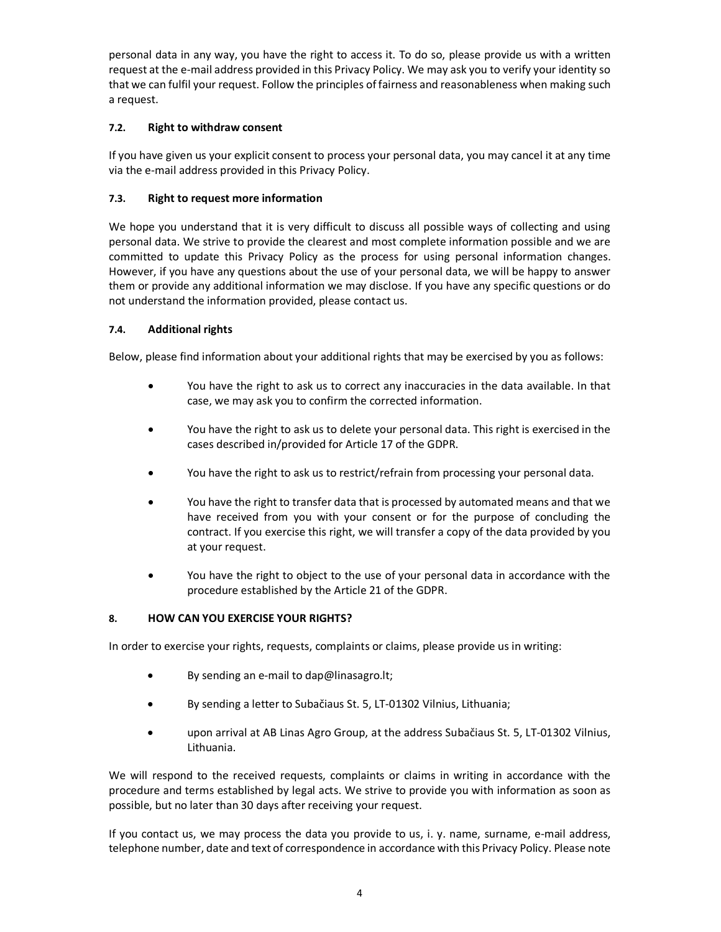personal data in any way, you have the right to access it. To do so, please provide us with a written request at the e-mail address provided in this Privacy Policy. We may ask you to verify your identity so that we can fulfil your request. Follow the principles of fairness and reasonableness when making such a request.

### **7.2. Right to withdraw consent**

If you have given us your explicit consent to process your personal data, you may cancel it at any time via the e-mail address provided in this Privacy Policy.

# **7.3. Right to request more information**

We hope you understand that it is very difficult to discuss all possible ways of collecting and using personal data. We strive to provide the clearest and most complete information possible and we are committed to update this Privacy Policy as the process for using personal information changes. However, if you have any questions about the use of your personal data, we will be happy to answer them or provide any additional information we may disclose. If you have any specific questions or do not understand the information provided, please contact us.

# **7.4. Additional rights**

Below, please find information about your additional rights that may be exercised by you as follows:

- You have the right to ask us to correct any inaccuracies in the data available. In that case, we may ask you to confirm the corrected information.
- You have the right to ask us to delete your personal data. This right is exercised in the cases described in/provided for Article 17 of the GDPR.
- You have the right to ask us to restrict/refrain from processing your personal data.
- You have the right to transfer data that is processed by automated means and that we have received from you with your consent or for the purpose of concluding the contract. If you exercise this right, we will transfer a copy of the data provided by you at your request.
- You have the right to object to the use of your personal data in accordance with the procedure established by the Article 21 of the GDPR.

### **8. HOW CAN YOU EXERCISE YOUR RIGHTS?**

In order to exercise your rights, requests, complaints or claims, please provide us in writing:

- By sending an e-mail to dap@linasagro.lt;
- By sending a letter to Subačiaus St. 5, LT-01302 Vilnius, Lithuania;
- upon arrival at AB Linas Agro Group, at the address Subačiaus St. 5, LT-01302 Vilnius, Lithuania.

We will respond to the received requests, complaints or claims in writing in accordance with the procedure and terms established by legal acts. We strive to provide you with information as soon as possible, but no later than 30 days after receiving your request.

If you contact us, we may process the data you provide to us, i. y. name, surname, e-mail address, telephone number, date and text of correspondence in accordance with this Privacy Policy. Please note